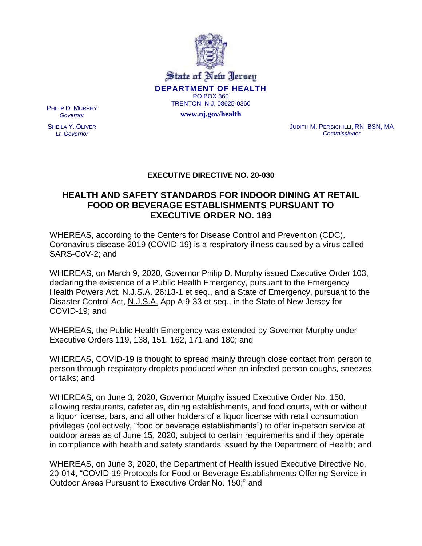

State of New Jersey **DEPARTMENT OF HEALTH** PO BOX 360 TRENTON, N.J. 08625-0360

**www.nj.gov/health**

PHILIP D. MURPHY *Governor*

SHEILA Y. OLIVER *Lt. Governor*

JUDITH M. PERSICHILLI, RN, BSN, MA *Commissioner*

## **EXECUTIVE DIRECTIVE NO. 20-030**

## **HEALTH AND SAFETY STANDARDS FOR INDOOR DINING AT RETAIL FOOD OR BEVERAGE ESTABLISHMENTS PURSUANT TO EXECUTIVE ORDER NO. 183**

WHEREAS, according to the Centers for Disease Control and Prevention (CDC), Coronavirus disease 2019 (COVID-19) is a respiratory illness caused by a virus called SARS-CoV-2; and

WHEREAS, on March 9, 2020, Governor Philip D. Murphy issued Executive Order 103, declaring the existence of a Public Health Emergency, pursuant to the Emergency Health Powers Act, N.J.S.A. 26:13-1 et seq., and a State of Emergency, pursuant to the Disaster Control Act, N.J.S.A. App A:9-33 et seq., in the State of New Jersey for COVID-19; and

WHEREAS, the Public Health Emergency was extended by Governor Murphy under Executive Orders 119, 138, 151, 162, 171 and 180; and

WHEREAS, COVID-19 is thought to spread mainly through close contact from person to person through respiratory droplets produced when an infected person coughs, sneezes or talks; and

WHEREAS, on June 3, 2020, Governor Murphy issued Executive Order No. 150, allowing restaurants, cafeterias, dining establishments, and food courts, with or without a liquor license, bars, and all other holders of a liquor license with retail consumption privileges (collectively, "food or beverage establishments") to offer in-person service at outdoor areas as of June 15, 2020, subject to certain requirements and if they operate in compliance with health and safety standards issued by the Department of Health; and

WHEREAS, on June 3, 2020, the Department of Health issued Executive Directive No. 20-014, "COVID-19 Protocols for Food or Beverage Establishments Offering Service in Outdoor Areas Pursuant to Executive Order No. 150;" and